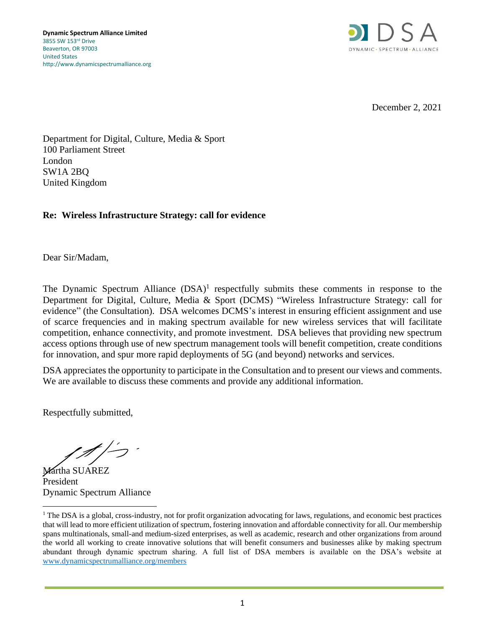

December 2, 2021

Department for Digital, Culture, Media & Sport 100 Parliament Street London SW1A 2BQ United Kingdom

# **Re: Wireless Infrastructure Strategy: call for evidence**

Dear Sir/Madam,

The Dynamic Spectrum Alliance (DSA)<sup>1</sup> respectfully submits these comments in response to the Department for Digital, Culture, Media & Sport (DCMS) "Wireless Infrastructure Strategy: call for evidence" (the Consultation). DSA welcomes DCMS's interest in ensuring efficient assignment and use of scarce frequencies and in making spectrum available for new wireless services that will facilitate competition, enhance connectivity, and promote investment. DSA believes that providing new spectrum access options through use of new spectrum management tools will benefit competition, create conditions for innovation, and spur more rapid deployments of 5G (and beyond) networks and services.

DSA appreciates the opportunity to participate in the Consultation and to present our views and comments. We are available to discuss these comments and provide any additional information.

Respectfully submitted,

Martha SUAREZ President Dynamic Spectrum Alliance

<sup>&</sup>lt;sup>1</sup> The DSA is a global, cross-industry, not for profit organization advocating for laws, regulations, and economic best practices that will lead to more efficient utilization of spectrum, fostering innovation and affordable connectivity for all. Our membership spans multinationals, small-and medium-sized enterprises, as well as academic, research and other organizations from around the world all working to create innovative solutions that will benefit consumers and businesses alike by making spectrum abundant through dynamic spectrum sharing. A full list of DSA members is available on the DSA's website at [www.dynamicspectrumalliance.org/members](http://www.dynamicspectrumalliance.org/members)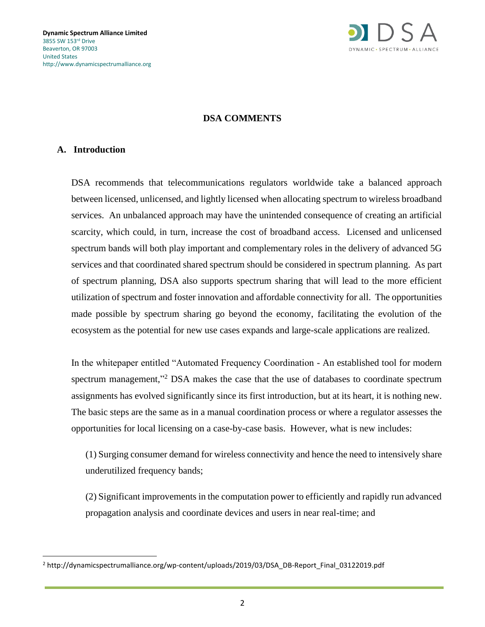

### **DSA COMMENTS**

#### **A. Introduction**

DSA recommends that telecommunications regulators worldwide take a balanced approach between licensed, unlicensed, and lightly licensed when allocating spectrum to wireless broadband services. An unbalanced approach may have the unintended consequence of creating an artificial scarcity, which could, in turn, increase the cost of broadband access. Licensed and unlicensed spectrum bands will both play important and complementary roles in the delivery of advanced 5G services and that coordinated shared spectrum should be considered in spectrum planning. As part of spectrum planning, DSA also supports spectrum sharing that will lead to the more efficient utilization of spectrum and foster innovation and affordable connectivity for all. The opportunities made possible by spectrum sharing go beyond the economy, facilitating the evolution of the ecosystem as the potential for new use cases expands and large-scale applications are realized.

In the whitepaper entitled "Automated Frequency Coordination - An established tool for modern spectrum management,"<sup>2</sup> DSA makes the case that the use of databases to coordinate spectrum assignments has evolved significantly since its first introduction, but at its heart, it is nothing new. The basic steps are the same as in a manual coordination process or where a regulator assesses the opportunities for local licensing on a case-by-case basis. However, what is new includes:

(1) Surging consumer demand for wireless connectivity and hence the need to intensively share underutilized frequency bands;

(2) Significant improvements in the computation power to efficiently and rapidly run advanced propagation analysis and coordinate devices and users in near real-time; and

<sup>2</sup> http://dynamicspectrumalliance.org/wp-content/uploads/2019/03/DSA\_DB-Report\_Final\_03122019.pdf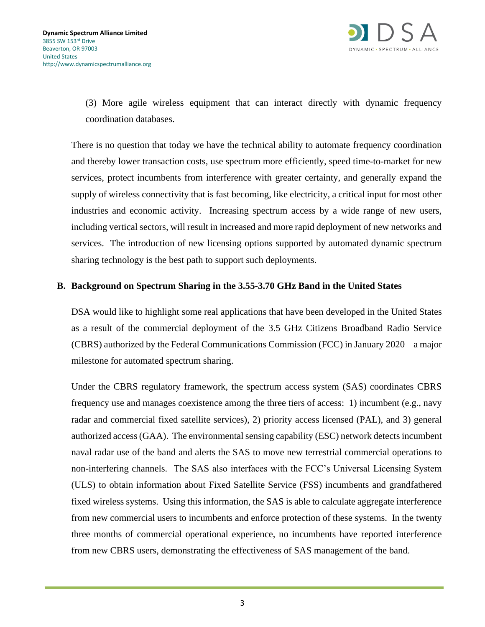

(3) More agile wireless equipment that can interact directly with dynamic frequency coordination databases.

There is no question that today we have the technical ability to automate frequency coordination and thereby lower transaction costs, use spectrum more efficiently, speed time-to-market for new services, protect incumbents from interference with greater certainty, and generally expand the supply of wireless connectivity that is fast becoming, like electricity, a critical input for most other industries and economic activity. Increasing spectrum access by a wide range of new users, including vertical sectors, will result in increased and more rapid deployment of new networks and services. The introduction of new licensing options supported by automated dynamic spectrum sharing technology is the best path to support such deployments.

### **B. Background on Spectrum Sharing in the 3.55-3.70 GHz Band in the United States**

DSA would like to highlight some real applications that have been developed in the United States as a result of the commercial deployment of the 3.5 GHz Citizens Broadband Radio Service (CBRS) authorized by the Federal Communications Commission (FCC) in January 2020 – a major milestone for automated spectrum sharing.

Under the CBRS regulatory framework, the spectrum access system (SAS) coordinates CBRS frequency use and manages coexistence among the three tiers of access: 1) incumbent (e.g., navy radar and commercial fixed satellite services), 2) priority access licensed (PAL), and 3) general authorized access (GAA). The environmental sensing capability (ESC) network detects incumbent naval radar use of the band and alerts the SAS to move new terrestrial commercial operations to non-interfering channels. The SAS also interfaces with the FCC's Universal Licensing System (ULS) to obtain information about Fixed Satellite Service (FSS) incumbents and grandfathered fixed wireless systems. Using this information, the SAS is able to calculate aggregate interference from new commercial users to incumbents and enforce protection of these systems. In the twenty three months of commercial operational experience, no incumbents have reported interference from new CBRS users, demonstrating the effectiveness of SAS management of the band.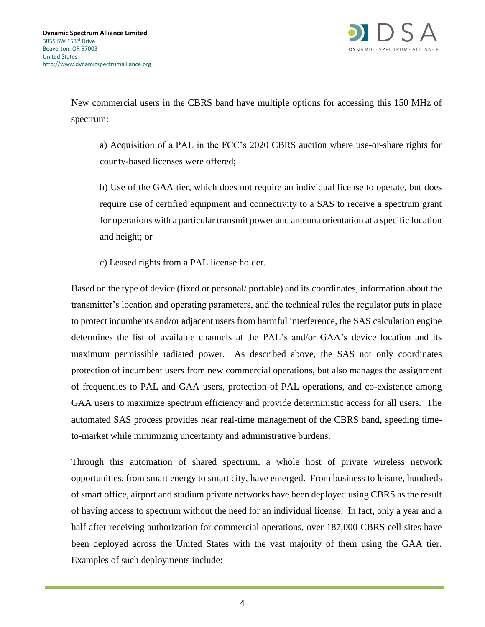

New commercial users in the CBRS band have multiple options for accessing this 150 MHz of spectrum:

a) Acquisition of a PAL in the FCC's 2020 CBRS auction where use-or-share rights for county-based licenses were offered;

b) Use of the GAA tier, which does not require an individual license to operate, but does require use of certified equipment and connectivity to a SAS to receive a spectrum grant for operations with a particular transmit power and antenna orientation at a specific location and height; or

c) Leased rights from a PAL license holder.

Based on the type of device (fixed or personal/ portable) and its coordinates, information about the transmitter's location and operating parameters, and the technical rules the regulator puts in place to protect incumbents and/or adjacent users from harmful interference, the SAS calculation engine determines the list of available channels at the PAL's and/or GAA's device location and its maximum permissible radiated power. As described above, the SAS not only coordinates protection of incumbent users from new commercial operations, but also manages the assignment of frequencies to PAL and GAA users, protection of PAL operations, and co-existence among GAA users to maximize spectrum efficiency and provide deterministic access for all users. The automated SAS process provides near real-time management of the CBRS band, speeding timeto-market while minimizing uncertainty and administrative burdens.

Through this automation of shared spectrum, a whole host of private wireless network opportunities, from smart energy to smart city, have emerged. From business to leisure, hundreds of smart office, airport and stadium private networks have been deployed using CBRS as the result of having access to spectrum without the need for an individual license. In fact, only a year and a half after receiving authorization for commercial operations, over 187,000 CBRS cell sites have been deployed across the United States with the vast majority of them using the GAA tier. Examples of such deployments include: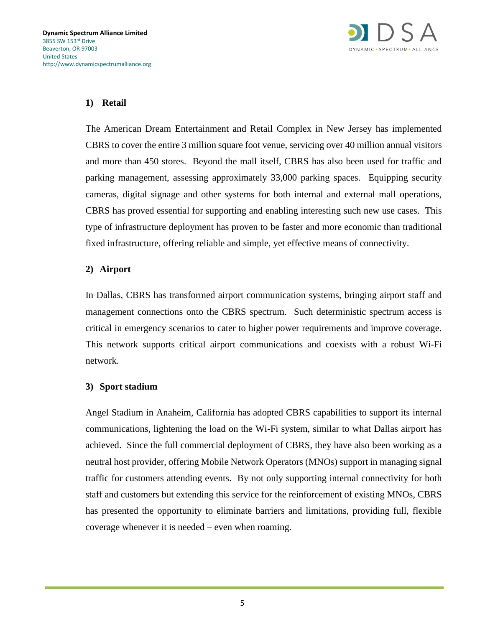

## **1) Retail**

The American Dream Entertainment and Retail Complex in New Jersey has implemented CBRS to cover the entire 3 million square foot venue, servicing over 40 million annual visitors and more than 450 stores. Beyond the mall itself, CBRS has also been used for traffic and parking management, assessing approximately 33,000 parking spaces. Equipping security cameras, digital signage and other systems for both internal and external mall operations, CBRS has proved essential for supporting and enabling interesting such new use cases. This type of infrastructure deployment has proven to be faster and more economic than traditional fixed infrastructure, offering reliable and simple, yet effective means of connectivity.

### **2) Airport**

In Dallas, CBRS has transformed airport communication systems, bringing airport staff and management connections onto the CBRS spectrum. Such deterministic spectrum access is critical in emergency scenarios to cater to higher power requirements and improve coverage. This network supports critical airport communications and coexists with a robust Wi-Fi network.

### **3) Sport stadium**

Angel Stadium in Anaheim, California has adopted CBRS capabilities to support its internal communications, lightening the load on the Wi-Fi system, similar to what Dallas airport has achieved. Since the full commercial deployment of CBRS, they have also been working as a neutral host provider, offering Mobile Network Operators (MNOs) support in managing signal traffic for customers attending events. By not only supporting internal connectivity for both staff and customers but extending this service for the reinforcement of existing MNOs, CBRS has presented the opportunity to eliminate barriers and limitations, providing full, flexible coverage whenever it is needed – even when roaming.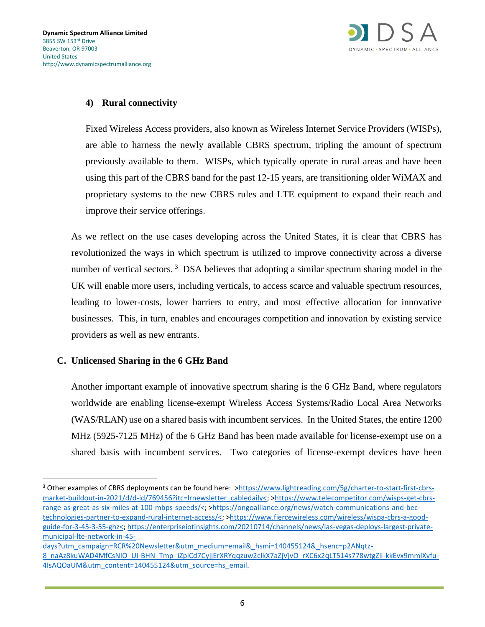

# **4) Rural connectivity**

Fixed Wireless Access providers, also known as Wireless Internet Service Providers (WISPs), are able to harness the newly available CBRS spectrum, tripling the amount of spectrum previously available to them. WISPs, which typically operate in rural areas and have been using this part of the CBRS band for the past 12-15 years, are transitioning older WiMAX and proprietary systems to the new CBRS rules and LTE equipment to expand their reach and improve their service offerings.

As we reflect on the use cases developing across the United States, it is clear that CBRS has revolutionized the ways in which spectrum is utilized to improve connectivity across a diverse number of vertical sectors.<sup>3</sup> DSA believes that adopting a similar spectrum sharing model in the UK will enable more users, including verticals, to access scarce and valuable spectrum resources, leading to lower-costs, lower barriers to entry, and most effective allocation for innovative businesses. This, in turn, enables and encourages competition and innovation by existing service providers as well as new entrants.

# **C. Unlicensed Sharing in the 6 GHz Band**

Another important example of innovative spectrum sharing is the 6 GHz Band, where regulators worldwide are enabling license-exempt Wireless Access Systems/Radio Local Area Networks (WAS/RLAN) use on a shared basis with incumbent services. In the United States, the entire 1200 MHz (5925-7125 MHz) of the 6 GHz Band has been made available for license-exempt use on a shared basis with incumbent services. Two categories of license-exempt devices have been

<sup>&</sup>lt;sup>3</sup> Other examples of CBRS deployments can be found here: [>https://www.lightreading.com/5g/charter-to-start-first-cbrs](https://www.lightreading.com/5g/charter-to-start-first-cbrs-market-buildout-in-2021/d/d-id/769456?itc=lrnewsletter_cabledaily%3c)[market-buildout-in-2021/d/d-id/769456?itc=lrnewsletter\\_cabledaily<;](https://www.lightreading.com/5g/charter-to-start-first-cbrs-market-buildout-in-2021/d/d-id/769456?itc=lrnewsletter_cabledaily%3c) [>https://www.telecompetitor.com/wisps-get-cbrs](https://www.telecompetitor.com/wisps-get-cbrs-range-as-great-as-six-miles-at-100-mbps-speeds/%3c)[range-as-great-as-six-miles-at-100-mbps-speeds/<;](https://www.telecompetitor.com/wisps-get-cbrs-range-as-great-as-six-miles-at-100-mbps-speeds/%3c) [>https://ongoalliance.org/news/watch-communications-and-bec](https://ongoalliance.org/news/watch-communications-and-bec-technologies-partner-to-expand-rural-internet-access/%3c)[technologies-partner-to-expand-rural-internet-access/<;](https://ongoalliance.org/news/watch-communications-and-bec-technologies-partner-to-expand-rural-internet-access/%3c) [>https://www.fiercewireless.com/wireless/wispa-cbrs-a-good](https://www.fiercewireless.com/wireless/wispa-cbrs-a-good-guide-for-3-45-3-55-ghz%3c)[guide-for-3-45-3-55-ghz<;](https://www.fiercewireless.com/wireless/wispa-cbrs-a-good-guide-for-3-45-3-55-ghz%3c) [https://enterpriseiotinsights.com/20210714/channels/news/las-vegas-deploys-largest-private](https://enterpriseiotinsights.com/20210714/channels/news/las-vegas-deploys-largest-private-municipal-lte-network-in-45-days?utm_campaign=RCR%20Newsletter&utm_medium=email&_hsmi=140455124&_hsenc=p2ANqtz-8_naAz8kuWAD4MfCsNIO_UI-BHN_Tmp_iZplCd7CyjjErXRYqqzuw2clkX7aZjVjvO_rXC6x2qLT514s778wtgZli-kkEvx9mmlXvfu-4IsAQOaUM&utm_content=140455124&utm_source=hs_email)[municipal-lte-network-in-45-](https://enterpriseiotinsights.com/20210714/channels/news/las-vegas-deploys-largest-private-municipal-lte-network-in-45-days?utm_campaign=RCR%20Newsletter&utm_medium=email&_hsmi=140455124&_hsenc=p2ANqtz-8_naAz8kuWAD4MfCsNIO_UI-BHN_Tmp_iZplCd7CyjjErXRYqqzuw2clkX7aZjVjvO_rXC6x2qLT514s778wtgZli-kkEvx9mmlXvfu-4IsAQOaUM&utm_content=140455124&utm_source=hs_email)

[days?utm\\_campaign=RCR%20Newsletter&utm\\_medium=email&\\_hsmi=140455124&\\_hsenc=p2ANqtz-](https://enterpriseiotinsights.com/20210714/channels/news/las-vegas-deploys-largest-private-municipal-lte-network-in-45-days?utm_campaign=RCR%20Newsletter&utm_medium=email&_hsmi=140455124&_hsenc=p2ANqtz-8_naAz8kuWAD4MfCsNIO_UI-BHN_Tmp_iZplCd7CyjjErXRYqqzuw2clkX7aZjVjvO_rXC6x2qLT514s778wtgZli-kkEvx9mmlXvfu-4IsAQOaUM&utm_content=140455124&utm_source=hs_email)[8\\_naAz8kuWAD4MfCsNIO\\_UI-BHN\\_Tmp\\_iZplCd7CyjjErXRYqqzuw2clkX7aZjVjvO\\_rXC6x2qLT514s778wtgZli-kkEvx9mmlXvfu-](https://enterpriseiotinsights.com/20210714/channels/news/las-vegas-deploys-largest-private-municipal-lte-network-in-45-days?utm_campaign=RCR%20Newsletter&utm_medium=email&_hsmi=140455124&_hsenc=p2ANqtz-8_naAz8kuWAD4MfCsNIO_UI-BHN_Tmp_iZplCd7CyjjErXRYqqzuw2clkX7aZjVjvO_rXC6x2qLT514s778wtgZli-kkEvx9mmlXvfu-4IsAQOaUM&utm_content=140455124&utm_source=hs_email)[4IsAQOaUM&utm\\_content=140455124&utm\\_source=hs\\_email.](https://enterpriseiotinsights.com/20210714/channels/news/las-vegas-deploys-largest-private-municipal-lte-network-in-45-days?utm_campaign=RCR%20Newsletter&utm_medium=email&_hsmi=140455124&_hsenc=p2ANqtz-8_naAz8kuWAD4MfCsNIO_UI-BHN_Tmp_iZplCd7CyjjErXRYqqzuw2clkX7aZjVjvO_rXC6x2qLT514s778wtgZli-kkEvx9mmlXvfu-4IsAQOaUM&utm_content=140455124&utm_source=hs_email)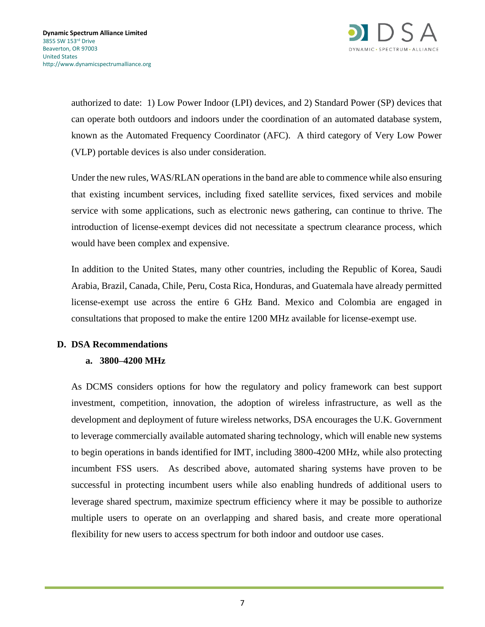

authorized to date: 1) Low Power Indoor (LPI) devices, and 2) Standard Power (SP) devices that can operate both outdoors and indoors under the coordination of an automated database system, known as the Automated Frequency Coordinator (AFC). A third category of Very Low Power (VLP) portable devices is also under consideration.

Under the new rules, WAS/RLAN operations in the band are able to commence while also ensuring that existing incumbent services, including fixed satellite services, fixed services and mobile service with some applications, such as electronic news gathering, can continue to thrive. The introduction of license-exempt devices did not necessitate a spectrum clearance process, which would have been complex and expensive.

In addition to the United States, many other countries, including the Republic of Korea, Saudi Arabia, Brazil, Canada, Chile, Peru, Costa Rica, Honduras, and Guatemala have already permitted license-exempt use across the entire 6 GHz Band. Mexico and Colombia are engaged in consultations that proposed to make the entire 1200 MHz available for license-exempt use.

### **D. DSA Recommendations**

### **a. 3800–4200 MHz**

As DCMS considers options for how the regulatory and policy framework can best support investment, competition, innovation, the adoption of wireless infrastructure, as well as the development and deployment of future wireless networks, DSA encourages the U.K. Government to leverage commercially available automated sharing technology, which will enable new systems to begin operations in bands identified for IMT, including 3800-4200 MHz, while also protecting incumbent FSS users. As described above, automated sharing systems have proven to be successful in protecting incumbent users while also enabling hundreds of additional users to leverage shared spectrum, maximize spectrum efficiency where it may be possible to authorize multiple users to operate on an overlapping and shared basis, and create more operational flexibility for new users to access spectrum for both indoor and outdoor use cases.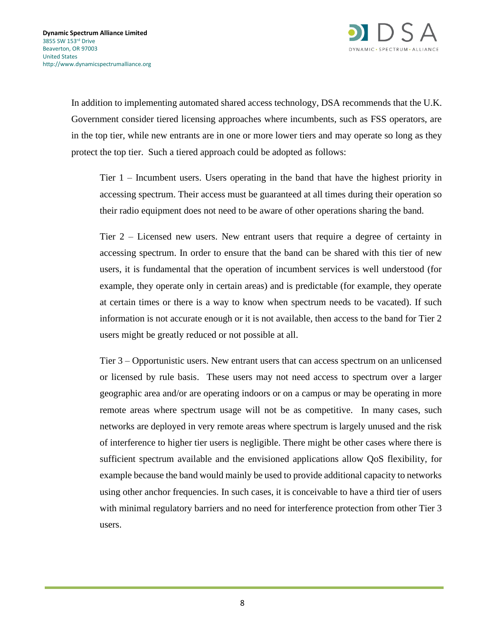In addition to implementing automated shared access technology, DSA recommends that the U.K. Government consider tiered licensing approaches where incumbents, such as FSS operators, are in the top tier, while new entrants are in one or more lower tiers and may operate so long as they protect the top tier. Such a tiered approach could be adopted as follows:

Tier 1 – Incumbent users. Users operating in the band that have the highest priority in accessing spectrum. Their access must be guaranteed at all times during their operation so their radio equipment does not need to be aware of other operations sharing the band.

Tier 2 – Licensed new users. New entrant users that require a degree of certainty in accessing spectrum. In order to ensure that the band can be shared with this tier of new users, it is fundamental that the operation of incumbent services is well understood (for example, they operate only in certain areas) and is predictable (for example, they operate at certain times or there is a way to know when spectrum needs to be vacated). If such information is not accurate enough or it is not available, then access to the band for Tier 2 users might be greatly reduced or not possible at all.

Tier 3 – Opportunistic users. New entrant users that can access spectrum on an unlicensed or licensed by rule basis. These users may not need access to spectrum over a larger geographic area and/or are operating indoors or on a campus or may be operating in more remote areas where spectrum usage will not be as competitive. In many cases, such networks are deployed in very remote areas where spectrum is largely unused and the risk of interference to higher tier users is negligible. There might be other cases where there is sufficient spectrum available and the envisioned applications allow QoS flexibility, for example because the band would mainly be used to provide additional capacity to networks using other anchor frequencies. In such cases, it is conceivable to have a third tier of users with minimal regulatory barriers and no need for interference protection from other Tier 3 users.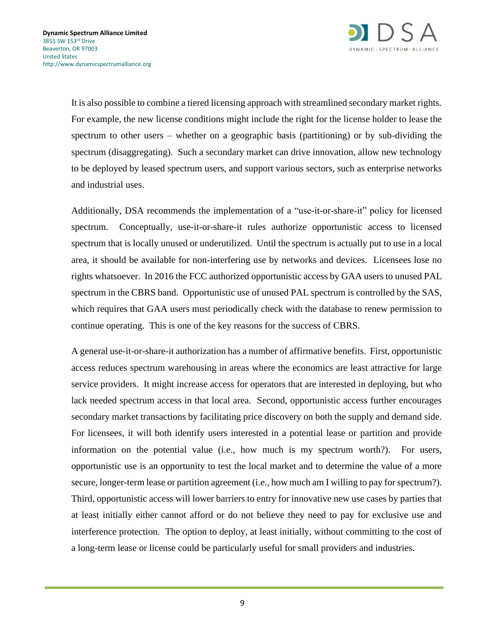

It is also possible to combine a tiered licensing approach with streamlined secondary market rights. For example, the new license conditions might include the right for the license holder to lease the spectrum to other users – whether on a geographic basis (partitioning) or by sub-dividing the spectrum (disaggregating). Such a secondary market can drive innovation, allow new technology to be deployed by leased spectrum users, and support various sectors, such as enterprise networks and industrial uses.

Additionally, DSA recommends the implementation of a "use-it-or-share-it" policy for licensed spectrum. Conceptually, use-it-or-share-it rules authorize opportunistic access to licensed spectrum that is locally unused or underutilized. Until the spectrum is actually put to use in a local area, it should be available for non-interfering use by networks and devices. Licensees lose no rights whatsoever. In 2016 the FCC authorized opportunistic access by GAA users to unused PAL spectrum in the CBRS band. Opportunistic use of unused PAL spectrum is controlled by the SAS, which requires that GAA users must periodically check with the database to renew permission to continue operating. This is one of the key reasons for the success of CBRS.

A general use-it-or-share-it authorization has a number of affirmative benefits. First, opportunistic access reduces spectrum warehousing in areas where the economics are least attractive for large service providers. It might increase access for operators that are interested in deploying, but who lack needed spectrum access in that local area. Second, opportunistic access further encourages secondary market transactions by facilitating price discovery on both the supply and demand side. For licensees, it will both identify users interested in a potential lease or partition and provide information on the potential value (i.e., how much is my spectrum worth?). For users, opportunistic use is an opportunity to test the local market and to determine the value of a more secure, longer-term lease or partition agreement (i.e., how much am I willing to pay for spectrum?). Third, opportunistic access will lower barriers to entry for innovative new use cases by parties that at least initially either cannot afford or do not believe they need to pay for exclusive use and interference protection. The option to deploy, at least initially, without committing to the cost of a long-term lease or license could be particularly useful for small providers and industries.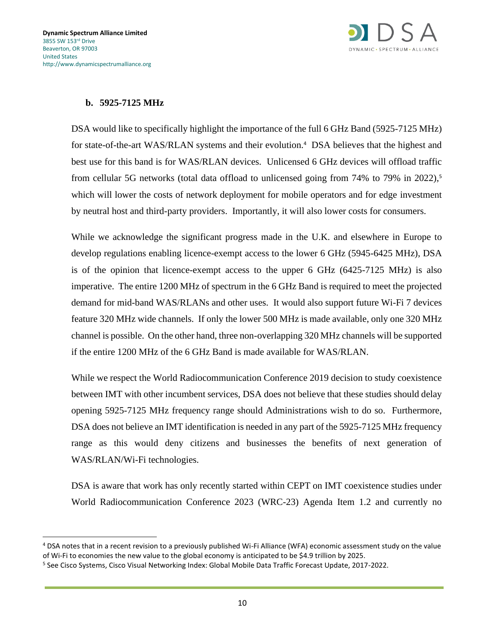

# **b. 5925-7125 MHz**

DSA would like to specifically highlight the importance of the full 6 GHz Band (5925-7125 MHz) for state-of-the-art WAS/RLAN systems and their evolution.<sup>4</sup> DSA believes that the highest and best use for this band is for WAS/RLAN devices. Unlicensed 6 GHz devices will offload traffic from cellular 5G networks (total data offload to unlicensed going from 74% to 79% in 2022), 5 which will lower the costs of network deployment for mobile operators and for edge investment by neutral host and third-party providers. Importantly, it will also lower costs for consumers.

While we acknowledge the significant progress made in the U.K. and elsewhere in Europe to develop regulations enabling licence-exempt access to the lower 6 GHz (5945-6425 MHz), DSA is of the opinion that licence-exempt access to the upper 6 GHz (6425-7125 MHz) is also imperative. The entire 1200 MHz of spectrum in the 6 GHz Band is required to meet the projected demand for mid-band WAS/RLANs and other uses. It would also support future Wi-Fi 7 devices feature 320 MHz wide channels. If only the lower 500 MHz is made available, only one 320 MHz channel is possible. On the other hand, three non-overlapping 320 MHz channels will be supported if the entire 1200 MHz of the 6 GHz Band is made available for WAS/RLAN.

While we respect the World Radiocommunication Conference 2019 decision to study coexistence between IMT with other incumbent services, DSA does not believe that these studies should delay opening 5925-7125 MHz frequency range should Administrations wish to do so. Furthermore, DSA does not believe an IMT identification is needed in any part of the 5925-7125 MHz frequency range as this would deny citizens and businesses the benefits of next generation of WAS/RLAN/Wi-Fi technologies.

DSA is aware that work has only recently started within CEPT on IMT coexistence studies under World Radiocommunication Conference 2023 (WRC-23) Agenda Item 1.2 and currently no

<sup>4</sup> DSA notes that in a recent revision to a previously published Wi-Fi Alliance (WFA) economic assessment study on the value of Wi-Fi to economies the new value to the global economy is anticipated to be \$4.9 trillion by 2025.

<sup>&</sup>lt;sup>5</sup> See Cisco Systems, Cisco Visual Networking Index: Global Mobile Data Traffic Forecast Update, 2017-2022.